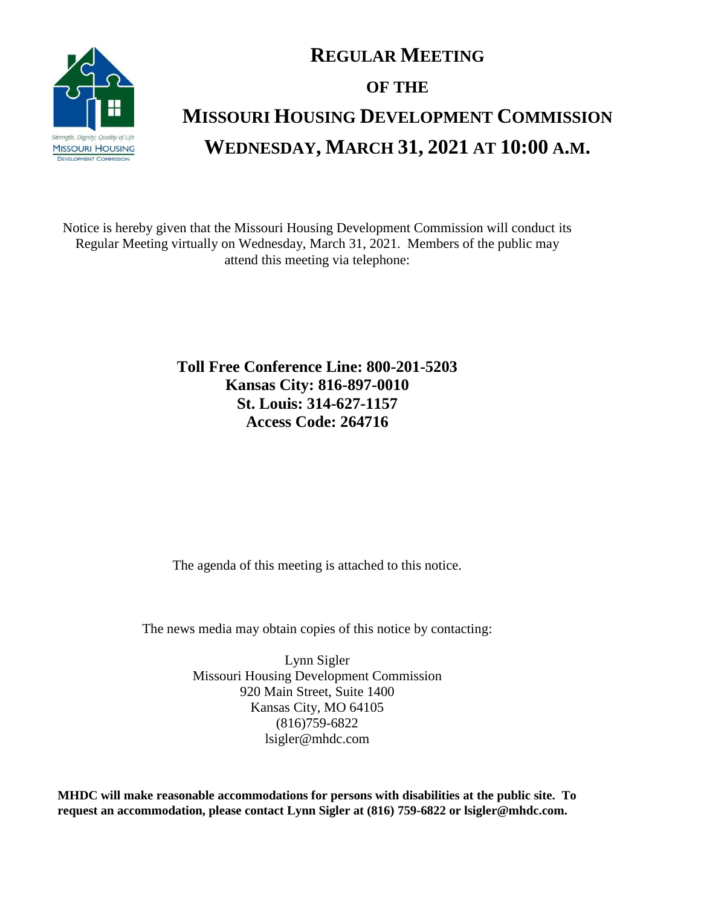

## **REGULAR MEETING OF THE MISSOURI HOUSING DEVELOPMENT COMMISSION WEDNESDAY, MARCH 31, 2021 AT 10:00 A.M.**

Notice is hereby given that the Missouri Housing Development Commission will conduct its Regular Meeting virtually on Wednesday, March 31, 2021. Members of the public may attend this meeting via telephone:

> **Toll Free Conference Line: 800-201-5203 Kansas City: 816-897-0010 St. Louis: 314-627-1157 Access Code: 264716**

The agenda of this meeting is attached to this notice.

The news media may obtain copies of this notice by contacting:

Lynn Sigler Missouri Housing Development Commission 920 Main Street, Suite 1400 Kansas City, MO 64105 (816)759-6822 lsigler@mhdc.com

**MHDC will make reasonable accommodations for persons with disabilities at the public site. To request an accommodation, please contact Lynn Sigler at (816) 759-6822 or lsigler@mhdc.com.**